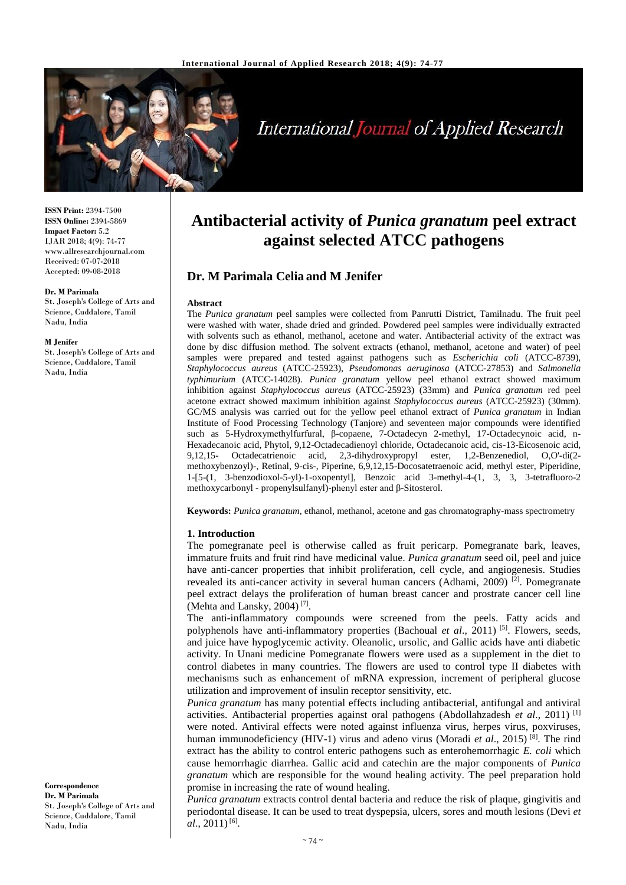

# **International Journal of Applied Research**

**ISSN Print:** 2394-7500 **ISSN Online:** 2394-5869 **Impact Factor:** 5.2 IJAR 2018; 4(9): 74-77 www.allresearchjournal.com Received: 07-07-2018 Accepted: 09-08-2018

#### **Dr. M Parimala**

St. Joseph's College of Arts and Science, Cuddalore, Tamil Nadu, India

#### **M Jenifer**

St. Joseph's College of Arts and Science, Cuddalore, Tamil Nadu, India

#### **Correspondence Dr. M Parimala** St. Joseph's College of Arts and Science, Cuddalore, Tamil Nadu, India

## **Antibacterial activity of** *Punica granatum* **peel extract against selected ATCC pathogens**

## **Dr. M Parimala Celia and M Jenifer**

#### **Abstract**

The *Punica granatum* peel samples were collected from Panrutti District, Tamilnadu. The fruit peel were washed with water, shade dried and grinded. Powdered peel samples were individually extracted with solvents such as ethanol, methanol, acetone and water. Antibacterial activity of the extract was done by disc diffusion method. The solvent extracts (ethanol, methanol, acetone and water) of peel samples were prepared and tested against pathogens such as *Escherichia coli* (ATCC-8739), *Staphylococcus aureus* (ATCC-25923), *Pseudomonas aeruginosa* (ATCC-27853) and *Salmonella typhimurium* (ATCC-14028). *Punica granatum* yellow peel ethanol extract showed maximum inhibition against *Staphylococcus aureus* (ATCC-25923) (33mm) and *Punica granatum* red peel acetone extract showed maximum inhibition against *Staphylococcus aureus* (ATCC-25923) (30mm). GC/MS analysis was carried out for the yellow peel ethanol extract of *Punica granatum* in Indian Institute of Food Processing Technology (Tanjore) and seventeen major compounds were identified such as 5-Hydroxymethylfurfural, β-copaene, 7-Octadecyn 2-methyl, 17-Octadecynoic acid, n-Hexadecanoic acid, Phytol, 9,12-Octadecadienoyl chloride, Octadecanoic acid, cis-13-Eicosenoic acid, 9,12,15- Octadecatrienoic acid, 2,3-dihydroxypropyl ester, 1,2-Benzenediol, O,O'-di(2 methoxybenzoyl)-, Retinal, 9-cis-, Piperine, 6,9,12,15-Docosatetraenoic acid, methyl ester, Piperidine, 1-[5-(1, 3-benzodioxol-5-yl)-1-oxopentyl], Benzoic acid 3-methyl-4-(1, 3, 3, 3-tetrafluoro-2 methoxycarbonyl - propenylsulfanyl)-phenyl ester and β-Sitosterol.

**Keywords:** *Punica granatum,* ethanol, methanol, acetone and gas chromatography-mass spectrometry

#### **1. Introduction**

The pomegranate peel is otherwise called as fruit pericarp. Pomegranate bark, leaves, immature fruits and fruit rind have medicinal value. *Punica granatum* seed oil, peel and juice have anti-cancer properties that inhibit proliferation, cell cycle, and angiogenesis. Studies revealed its anti-cancer activity in several human cancers (Adhami, 2009)  $\sqrt{2}$ . Pomegranate peel extract delays the proliferation of human breast cancer and prostrate cancer cell line (Mehta and Lansky, 2004) [7] .

The anti-inflammatory compounds were screened from the peels. Fatty acids and polyphenols have anti-inflammatory properties (Bachoual *et al.*, 2011)<sup>[5]</sup>. Flowers, seeds, and juice have hypoglycemic activity. Oleanolic, ursolic, and Gallic acids have anti diabetic activity. In Unani medicine Pomegranate flowers were used as a supplement in the diet to control diabetes in many countries. The flowers are used to control type II diabetes with mechanisms such as enhancement of mRNA expression, increment of peripheral glucose utilization and improvement of insulin receptor sensitivity, etc.

*Punica granatum* has many potential effects including antibacterial, antifungal and antiviral activities. Antibacterial properties against oral pathogens (Abdollahzadesh *et al*., 2011) [1] were noted. Antiviral effects were noted against influenza virus, herpes virus, poxviruses, human immunodeficiency (HIV-1) virus and adeno virus (Moradi *et al.*, 2015)<sup>[8]</sup>. The rind extract has the ability to control enteric pathogens such as enterohemorrhagic *E. coli* which cause hemorrhagic diarrhea. Gallic acid and catechin are the major components of *Punica granatum* which are responsible for the wound healing activity. The peel preparation hold promise in increasing the rate of wound healing.

*Punica granatum* extracts control dental bacteria and reduce the risk of plaque, gingivitis and periodontal disease. It can be used to treat dyspepsia, ulcers, sores and mouth lesions (Devi *et al.*, 2011)<sup>[6]</sup>.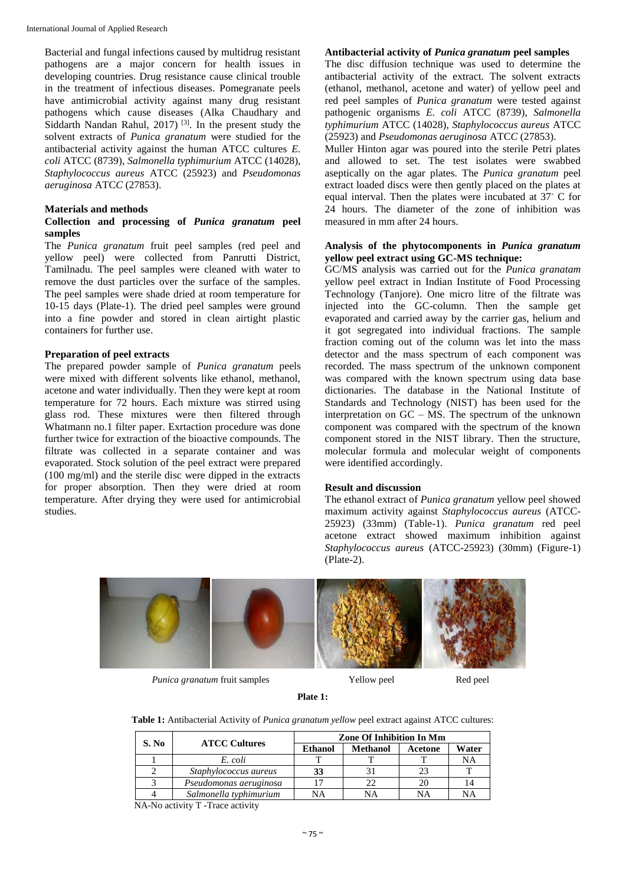Bacterial and fungal infections caused by multidrug resistant pathogens are a major concern for health issues in developing countries. Drug resistance cause clinical trouble in the treatment of infectious diseases. Pomegranate peels have antimicrobial activity against many drug resistant pathogens which cause diseases (Alka Chaudhary and Siddarth Nandan Rahul,  $2017$ )<sup>[3]</sup>. In the present study the solvent extracts of *Punica granatum* were studied for the antibacterial activity against the human ATCC cultures *E. coli* ATCC (8739), *Salmonella typhimurium* ATCC (14028), *Staphylococcus aureus* ATCC (25923) and *Pseudomonas aeruginosa* ATC*C* (27853).

#### **Materials and methods**

### **Collection and processing of** *Punica granatum* **peel samples**

The *Punica granatum* fruit peel samples (red peel and yellow peel) were collected from Panrutti District, Tamilnadu. The peel samples were cleaned with water to remove the dust particles over the surface of the samples. The peel samples were shade dried at room temperature for 10-15 days (Plate-1). The dried peel samples were ground into a fine powder and stored in clean airtight plastic containers for further use.

#### **Preparation of peel extracts**

The prepared powder sample of *Punica granatum* peels were mixed with different solvents like ethanol, methanol, acetone and water individually. Then they were kept at room temperature for 72 hours. Each mixture was stirred using glass rod. These mixtures were then filtered through Whatmann no.1 filter paper. Exrtaction procedure was done further twice for extraction of the bioactive compounds. The filtrate was collected in a separate container and was evaporated. Stock solution of the peel extract were prepared (100 mg/ml) and the sterile disc were dipped in the extracts for proper absorption. Then they were dried at room temperature. After drying they were used for antimicrobial studies.

## **Antibacterial activity of** *Punica granatum* **peel samples**

The disc diffusion technique was used to determine the antibacterial activity of the extract. The solvent extracts (ethanol, methanol, acetone and water) of yellow peel and red peel samples of *Punica granatum* were tested against pathogenic organisms *E. coli* ATCC (8739), *Salmonella typhimurium* ATCC (14028), *Staphylococcus aureus* ATCC (25923) and *Pseudomonas aeruginosa* ATC*C* (27853).

Muller Hinton agar was poured into the sterile Petri plates and allowed to set. The test isolates were swabbed aseptically on the agar plates. The *Punica granatum* peel extract loaded discs were then gently placed on the plates at equal interval. Then the plates were incubated at 37◦ C for 24 hours. The diameter of the zone of inhibition was measured in mm after 24 hours.

### **Analysis of the phytocomponents in** *Punica granatum*  **yellow peel extract using GC-MS technique:**

GC/MS analysis was carried out for the *Punica granatam*  yellow peel extract in Indian Institute of Food Processing Technology (Tanjore). One micro litre of the filtrate was injected into the GC-column. Then the sample get evaporated and carried away by the carrier gas, helium and it got segregated into individual fractions. The sample fraction coming out of the column was let into the mass detector and the mass spectrum of each component was recorded. The mass spectrum of the unknown component was compared with the known spectrum using data base dictionaries. The database in the National Institute of Standards and Technology (NIST) has been used for the interpretation on GC – MS. The spectrum of the unknown component was compared with the spectrum of the known component stored in the NIST library. Then the structure, molecular formula and molecular weight of components were identified accordingly.

#### **Result and discussion**

The ethanol extract of *Punica granatum* yellow peel showed maximum activity against *Staphylococcus aureus* (ATCC-25923) (33mm) (Table-1). *Punica granatum* red peel acetone extract showed maximum inhibition against *Staphylococcus aureus* (ATCC-25923) (30mm) (Figure-1) (Plate-2).



*Punica granatum* fruit samples Yellow peel Red peel

#### **Plate 1:**

**Table 1:** Antibacterial Activity of *Punica granatum yellow* peel extract against ATCC cultures:

| S. No | <b>ATCC Cultures</b>   | <b>Zone Of Inhibition In Mm</b> |                 |         |       |
|-------|------------------------|---------------------------------|-----------------|---------|-------|
|       |                        | <b>Ethanol</b>                  | <b>Methanol</b> | Acetone | Water |
|       | E. coli                |                                 |                 |         | NΑ    |
|       | Staphylococcus aureus  | 33                              |                 |         |       |
|       | Pseudomonas aeruginosa |                                 | 22              | 20      | 14    |
|       | Salmonella typhimurium | NA                              | NΑ              | NΑ      | NΑ    |

NA-No activity T -Trace activity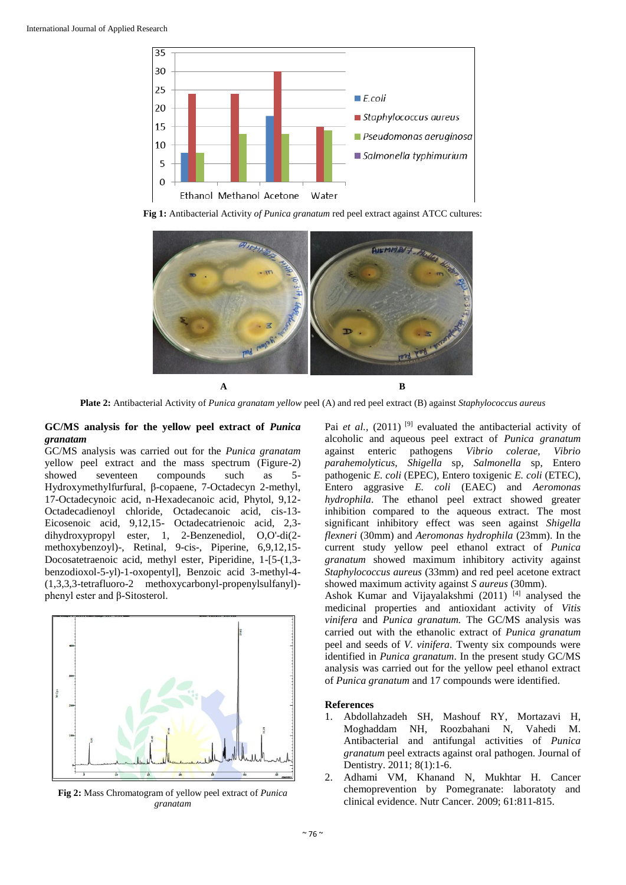

**Fig 1:** Antibacterial Activity *of Punica granatum* red peel extract against ATCC cultures:



**Plate 2:** Antibacterial Activity of *Punica granatam yellow* peel (A) and red peel extract (B) against *Staphylococcus aureus*

## **GC/MS analysis for the yellow peel extract of** *Punica granatam*

GC/MS analysis was carried out for the *Punica granatam*  yellow peel extract and the mass spectrum (Figure-2) showed seventeen compounds such as 5- Hydroxymethylfurfural, β-copaene, 7-Octadecyn 2-methyl, 17-Octadecynoic acid, n-Hexadecanoic acid, Phytol, 9,12- Octadecadienoyl chloride, Octadecanoic acid, cis-13- Eicosenoic acid, 9,12,15- Octadecatrienoic acid, 2,3 dihydroxypropyl ester, 1, 2-Benzenediol, O,O'-di(2 methoxybenzoyl)-, Retinal, 9-cis-, Piperine, 6,9,12,15- Docosatetraenoic acid, methyl ester, Piperidine, 1-[5-(1,3 benzodioxol-5-yl)-1-oxopentyl], Benzoic acid 3-methyl-4- (1,3,3,3-tetrafluoro-2 methoxycarbonyl-propenylsulfanyl) phenyl ester and β-Sitosterol.



**Fig 2:** Mass Chromatogram of yellow peel extract of *Punica granatam*

Pai *et al.*, (2011)<sup>[9]</sup> evaluated the antibacterial activity of alcoholic and aqueous peel extract of *Punica granatum* against enteric pathogens *Vibrio colerae, Vibrio parahemolyticus, Shigella* sp, *Salmonella* sp, Entero pathogenic *E. coli* (EPEC), Entero toxigenic *E. coli* (ETEC), Entero aggrasive *E. coli* (EAEC) and *Aeromonas hydrophila*. The ethanol peel extract showed greater inhibition compared to the aqueous extract. The most significant inhibitory effect was seen against *Shigella flexneri* (30mm) and *Aeromonas hydrophila* (23mm). In the current study yellow peel ethanol extract of *Punica granatum* showed maximum inhibitory activity against *Staphylococcus aureus* (33mm) and red peel acetone extract showed maximum activity against *S aureus* (30mm).

Ashok Kumar and Vijayalakshmi (2011)<sup>[4]</sup> analysed the medicinal properties and antioxidant activity of *Vitis vinifera* and *Punica granatum.* The GC/MS analysis was carried out with the ethanolic extract of *Punica granatum* peel and seeds of *V. vinifera*. Twenty six compounds were identified in *Punica granatum*. In the present study GC/MS analysis was carried out for the yellow peel ethanol extract of *Punica granatum* and 17 compounds were identified.

## **References**

- 1. Abdollahzadeh SH, Mashouf RY, Mortazavi H, Moghaddam NH, Roozbahani N, Vahedi M. Antibacterial and antifungal activities of *Punica granatum* peel extracts against oral pathogen. Journal of Dentistry. 2011; 8(1):1-6.
- 2. Adhami VM, Khanand N, Mukhtar H. Cancer chemoprevention by Pomegranate: laboratoty and clinical evidence. Nutr Cancer. 2009; 61:811-815.